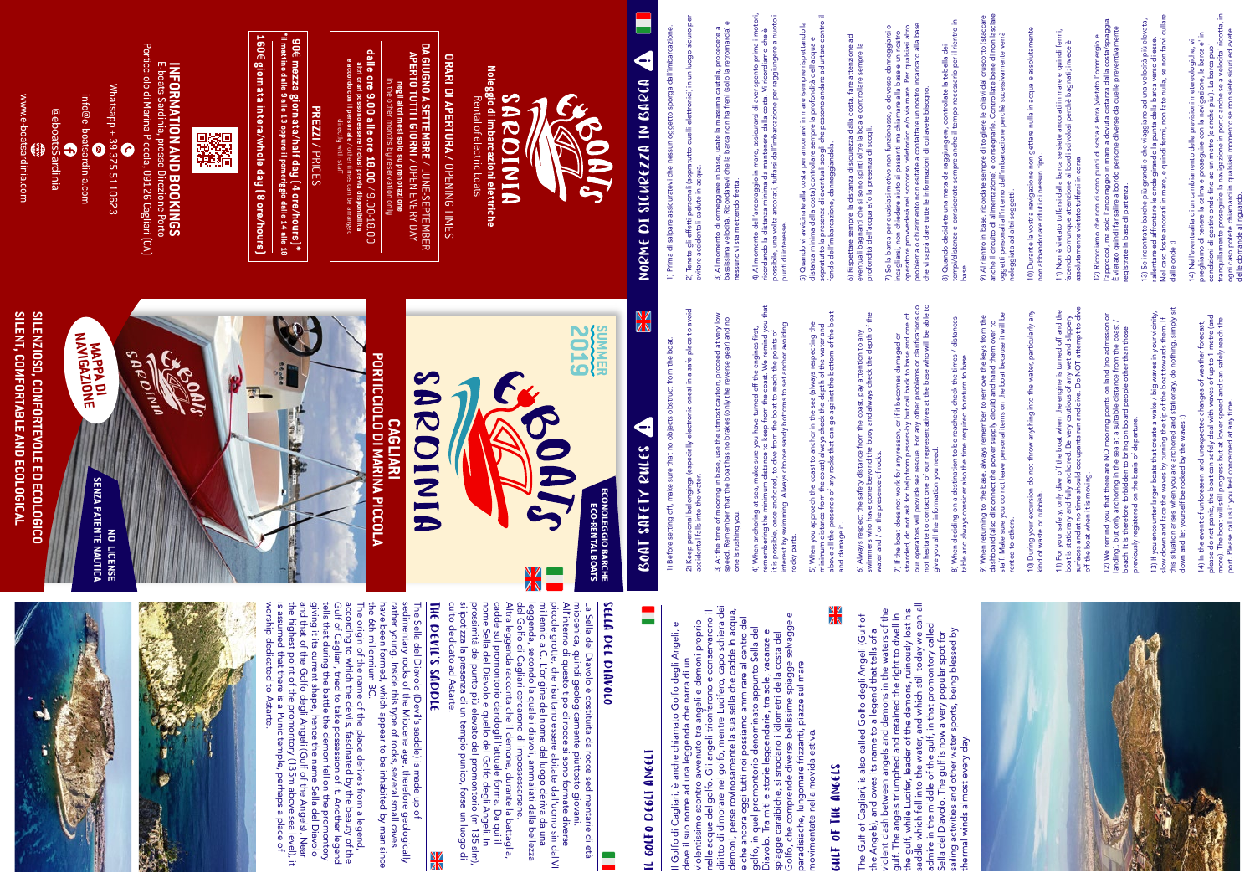IL GOLFO DEGLI ANGELI

IL GOLFO DEGLI ANGELI

Il Golfo di Cagliari, è anche chiamato Golfo degli Angeli, e

deve il suo nome ad una leggenda che narra di un

The Gulf of Cagliari, is also called Golfo degli Angeli (Gulf of<br>the Angels), and owes its name to a legend that tells of a<br>violent clash between angels and demons in the waters of the<br>gulf. The angels triumphed and retain saddle which fell into the water, and which still today we can all violent clash between angels and demons in the waters of the the gulf, while Lucifer, leader of the demons, ruinously lost his The Gulf of Cagliari, is also called Golfo degli Angeli (Gulf of gulf. The angels triumphed and retained the right to dwell in admire in the middle of the gulf, in that promontory called the Angels), and owes its name to a legend that tells of a Sella del Diavolo. The gulf is now a very popular spot for

violentissimo scontro avvenuto tra angeli e demoni proprio nelle acque del golfo. Gli angeli trionfarono e conservarono il diritto di dimorare nel golfo, mentre Lucifero, capo schiera dei demoni, perse rovinosamente la sua sella che cadde in acqua, e che ancora oggi tutti noi possiamo ammirare al centro del golfo, in quel promontorio denominato appunto Sella del Diavolo. Tra miti e storie leggendarie, tra sole, vacanze e spiagge caraibiche, si snodano i kilometri della costa del Golfo, che comprende diverse bellissime spiagge selvagge e

La Sella del Diavolo è costituita da rocce sedimentarie di età<br>miocenica, quindi geologicamente piuttosto giovani.<br>All'interno di questo tipo di rocce si sono formate dilverse<br>priccole grotte, che risultano essere abitate culto dedicato ad Astarte. si ipotizza la presenza di un tempio punico, forse un luogo di prossimità del punto più elevato del promontorio (m 135 slm), nome Sella del Diavolo e quello del Golfo degli Angeli. In cadde sul promontorio dandogli l'attuale forma. Da qui il Altra leggenda racconta che il demone, durante la battaglia, del Golfo di Cagliari cercarono di impossessarsene. millennio a.C. L'origine del nome del luogo deriva da una piccole grotte, che risultano essere abitate dall'uomo sin dal VI All'interno di questo tipo di rocce si sono formate diverse miocenica, quindi geologicamente piuttosto giovani. leggenda, secondo la quale i diavoli, ammaliati dalla bellezza La Sella del Diavolo è costituita da rocce sedimentarie di età  $\frac{N}{4}$ 

paradisiache, lungomare frizzanti, piazze sul mare

movimentate nella movida estiva.

GULF OF THE ANGELS

**SULF OF THE ANGELS** 

 $\frac{\Delta V}{\Delta \Delta}$ 

| sailing activities and other water sports, being blessed by<br>thermal winds almost every day. | 8) When deciding on a destination to be reached, check the times / distances<br>table and always consider also the time required to return to base.                                                                                                                                                            | tempi/distanze e considerate sempre anche il tempo necessario per il rientro in<br>base.                                                                                                                                                                                                                                                                                                                                                       |
|------------------------------------------------------------------------------------------------|----------------------------------------------------------------------------------------------------------------------------------------------------------------------------------------------------------------------------------------------------------------------------------------------------------------|------------------------------------------------------------------------------------------------------------------------------------------------------------------------------------------------------------------------------------------------------------------------------------------------------------------------------------------------------------------------------------------------------------------------------------------------|
|                                                                                                | staff. Make sure you do not leave personal items on the boat because it will be<br>9) When returning to the base, always remember to remove the keys from the<br>dashboard (also disconnect the power supply circuit) and hand them over to<br>rented to others.                                               | anche il circuito di alimentazione) e consegnarle. Controllate bene di non lasciare<br>9) Al rientro in base, ricordate sempre di togliere le chiavi dal cruscotto (staccare<br>oggetti personali all'interno dell'imbarcazione perchè sucessivamente verrà<br>noleggiata ad altri soggetti.                                                                                                                                                   |
|                                                                                                | 10) During your excursion do not throw anything into the water, particularly any<br>kind of waste or rubbish.                                                                                                                                                                                                  | 10) Durante la vostra navigazione non gettare nulla in acqua e assolutamente<br>non abbandonare rifiuti di nessun tipo.                                                                                                                                                                                                                                                                                                                        |
|                                                                                                | surfaces and at no time should occupants run and dive. Do NOT attempt to dive<br>11) For your safety, only dive off the boat when the engine is turned off and the<br>anchored. Be very cautious of any wet and slippery<br>off the boat when it is moving<br>boat is stationary and fully                     | 11) Non è vietato tuffarsi dalla barca se siete ancorati in mare e quindi fermi,<br>facendo comunque attenzione ai bordi scivolosi perchè bagnati; invece è<br>assolutamente vietato tuffarsi in corsa                                                                                                                                                                                                                                         |
|                                                                                                | 12) We remind you that there are NO mooring points on land (no admission or<br>anding), but only anchoring in the sea at a suitable distance from the coast<br>beach. It is therefore forbidden to bring on board people other than those<br>previously registered on the basis of departure.                  | l'approdo), ma solo l'ancoraggio in mare a dovuta distanza dalla costa/spiaggia.<br>È vietato quindi far salire a bordo persone diverse da quelle preventivamente<br>12) Ricordiamo che non ci sono punti di sosta a terra (vietato l'ommergio e<br>registrate in base di partenza.                                                                                                                                                            |
|                                                                                                | this situation arises when you are anchored and stationary, do nothing, simply sit<br>boats that create a wake / big waves in your vicinity,<br>slow down and face the waves by turning the tip of the boat towards them. If<br>down and let yourself be rocked by the waves :)<br>13) If you encounter larger | Nel caso foste ancorati in mare, e quindi fermi, non fate nulla, se non farvi cullare<br>13) Se incontrate barche più grandi e che viaggiano ad una velocità più elevata,<br>rallentare ed affrontare le onde girando la punta della barca verso di esse.<br>dalle onde :)                                                                                                                                                                     |
|                                                                                                | please do not panic, the boat can safely deal with waves of up to 1 metre (and<br>more). The boat will still progress but at lower speed and can safely reach the<br>14) In the event of unforeseen and unexpected changes of weather forecast,<br>port. Please call us if you feel concerned at any time.     | tranquillamente proseguire la navigazione in porto anche se a velocita' ridotta, in<br>ogni caso potete chiamarci in qualsiasi momento se non siete sicuri ed avete<br>⊇.<br>14) Nell'eventualita di un cambiamento delle previsioni metereologiche, vi<br>preghiamo di tenere la calma e proseguire con la navigazione, la barca e'<br>condizioni di qestire onde fino ad un metro (e anche piu'). La barca puo<br>delle domande al riquardo. |

The origin of the name of the place derives from a legend,<br>according to which the devils, fascinated by the beauty of the<br>Gulf of Cagliari, tried to take possession of it. Another legend<br>tells that during the battle the d worship dedicated to Astarte.

la tebella dei 8) Quando decidete una meta da raggiungere, controllate la tebella dei che vi saprà dare tutte le informazioni di cui avete bisogno. do decidet Ğ



![](_page_0_Picture_1.jpeg)

The Sella del Diavolo (Devil's saddle) is made up of<br>sedimentary rocks of the Miocene age, therefore geologically<br>rather young. Inside this type of rocks, several small caves<br>have been formed, which appear to be inhabited have been formed, which appear to be inhabited by man since rather young. Inside this type of rocks, several small caves sedimentary rocks of the Miocene age, therefore geologically The Sella del Diavolo (Devil's saddle) is made up of

# THE DEVIL'S SADDLE THE DEVIL'S SADDLE

# SELLA DEL DIAVOLO SELLA DEL DIAVOLO

not hesitate to contact one of our representatives at the base who will be able to

give you all the information you need.

is assumed that there is a Punic temple, perhaps a place of the highest point of the promontory (135m above sea level), it and that of the Golfo degli Angeli (Gulf of the Angels). Near giving it its current shape, hence the name Sella del Diavolo tells that during the battle the demon fell on the promontory Gulf of Cagliari, tried to take possession of it. Another legend according to which the devils, fascinated by the beauty of the The origin of the name of the place derives from a legend,

the 6th millennium BC.